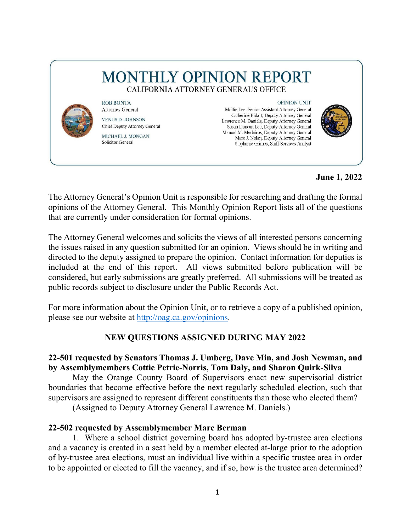# **MONTHLY OPINION REPORT** CALIFORNIA ATTORNEY GENERAL'S OFFICE



**ROB BONTA Attorney General VENUS D. JOHNSON** Chief Deputy Attorney General MICHAEL J. MONGAN **Solicitor General** 

**OPINION UNIT** 

Mollie Lee, Senior Assistant Attorney General Catherine Bidart, Deputy Attorney General Lawrence M. Daniels, Deputy Attorney General Susan Duncan Lee, Deputy Attorney General Manuel M. Medeiros, Deputy Attorney General Marc J. Nolan, Deputy Attorney General Stephanie Grimes, Staff Services Analyst



**June 1, 2022** 

The Attorney General's Opinion Unit is responsible for researching and drafting the formal opinions of the Attorney General. This Monthly Opinion Report lists all of the questions that are currently under consideration for formal opinions.

 the issues raised in any question submitted for an opinion. Views should be in writing and The Attorney General welcomes and solicits the views of all interested persons concerning directed to the deputy assigned to prepare the opinion. Contact information for deputies is included at the end of this report. All views submitted before publication will be considered, but early submissions are greatly preferred. All submissions will be treated as public records subject to disclosure under the Public Records Act.

For more information about the Opinion Unit, or to retrieve a copy of a published opinion, please see our website at [http://oag.ca.gov/opinions.](http://oag.ca.gov/opinions)

## **NEW QUESTIONS ASSIGNED DURING MAY 2022**

## **22-501 requested by Senators Thomas J. Umberg, Dave Min, and Josh Newman, and by Assemblymembers Cottie Petrie-Norris, Tom Daly, and Sharon Quirk-Silva**

May the Orange County Board of Supervisors enact new supervisorial district boundaries that become effective before the next regularly scheduled election, such that supervisors are assigned to represent different constituents than those who elected them?

(Assigned to Deputy Attorney General Lawrence M. Daniels.)

## **22-502 requested by Assemblymember Marc Berman**

1. Where a school district governing board has adopted by-trustee area elections and a vacancy is created in a seat held by a member elected at-large prior to the adoption of by-trustee area elections, must an individual live within a specific trustee area in order to be appointed or elected to fill the vacancy, and if so, how is the trustee area determined?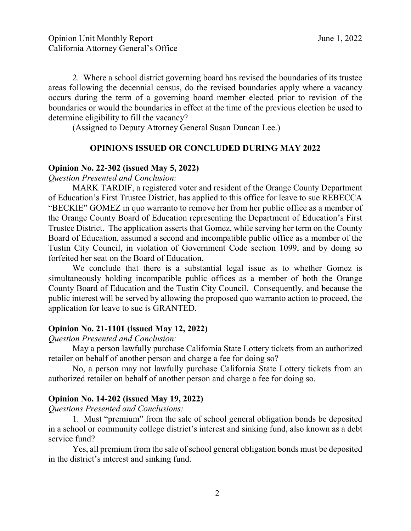2. Where a school district governing board has revised the boundaries of its trustee areas following the decennial census, do the revised boundaries apply where a vacancy occurs during the term of a governing board member elected prior to revision of the boundaries or would the boundaries in effect at the time of the previous election be used to determine eligibility to fill the vacancy?

(Assigned to Deputy Attorney General Susan Duncan Lee.)

#### **OPINIONS ISSUED OR CONCLUDED DURING MAY 2022**

#### **Opinion No. 22-302 (issued May 5, 2022)**

*Question Presented and Conclusion:* 

 MARK TARDIF, a registered voter and resident of the Orange County Department Tustin City Council, in violation of Government Code section 1099, and by doing so of Education's First Trustee District, has applied to this office for leave to sue REBECCA "BECKIE" GOMEZ in quo warranto to remove her from her public office as a member of the Orange County Board of Education representing the Department of Education's First Trustee District. The application asserts that Gomez, while serving her term on the County Board of Education, assumed a second and incompatible public office as a member of the forfeited her seat on the Board of Education.

We conclude that there is a substantial legal issue as to whether Gomez is simultaneously holding incompatible public offices as a member of both the Orange County Board of Education and the Tustin City Council. Consequently, and because the public interest will be served by allowing the proposed quo warranto action to proceed, the application for leave to sue is GRANTED.

#### **Opinion No. 21-1101 (issued May 12, 2022)**

 *Question Presented and Conclusion:* 

 May a person lawfully purchase California State Lottery tickets from an authorized retailer on behalf of another person and charge a fee for doing so? retailer on behalf of another person and charge a fee for doing so? No, a person may not lawfully purchase California State Lottery tickets from an

authorized retailer on behalf of another person and charge a fee for doing so.

#### **Opinion No. 14-202 (issued May 19, 2022)**

*Questions Presented and Conclusions:* 

service fund? 1. Must "premium" from the sale of school general obligation bonds be deposited in a school or community college district's interest and sinking fund, also known as a debt

Yes, all premium from the sale of school general obligation bonds must be deposited in the district's interest and sinking fund.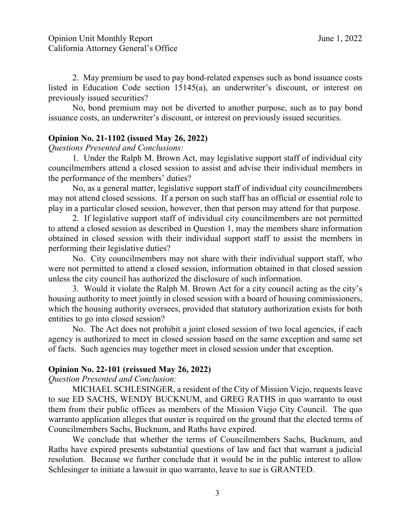2. May premium be used to pay bond-related expenses such as bond issuance costs listed in Education Code section 15145(a), an underwriter's discount, or interest on previously issued securities?

 No, bond premium may not be diverted to another purpose, such as to pay bond issuance costs, an underwriter's discount, or interest on previously issued securities.

#### **Opinion No. 21-1102 (issued May 26, 2022)**

*Questions Presented and Conclusions:* 

 1. Under the Ralph M. Brown Act, may legislative support staff of individual city councilmembers attend a closed session to assist and advise their individual members in the performance of the members' duties?

No, as a general matter, legislative support staff of individual city councilmembers may not attend closed sessions. If a person on such staff has an official or essential role to play in a particular closed session, however, then that person may attend for that purpose.

2. If legislative support staff of individual city councilmembers are not permitted to attend a closed session as described in Question 1, may the members share information obtained in closed session with their individual support staff to assist the members in performing their legislative duties?

No. City councilmembers may not share with their individual support staff, who were not permitted to attend a closed session, information obtained in that closed session unless the city council has authorized the disclosure of such information.

 housing authority to meet jointly in closed session with a board of housing commissioners, 3. Would it violate the Ralph M. Brown Act for a city council acting as the city's which the housing authority oversees, provided that statutory authorization exists for both entities to go into closed session?

 No. The Act does not prohibit a joint closed session of two local agencies, if each agency is authorized to meet in closed session based on the same exception and same set of facts. Such agencies may together meet in closed session under that exception.

#### **Opinion No. 22-101 (reissued May 26, 2022)**

*Question Presented and Conclusion:* 

MICHAEL SCHLESINGER, a resident of the City of Mission Viejo, requests leave to sue ED SACHS, WENDY BUCKNUM, and GREG RATHS in quo warranto to oust them from their public offices as members of the Mission Viejo City Council. The quo warranto application alleges that ouster is required on the ground that the elected terms of Councilmembers Sachs, Bucknum, and Raths have expired.

We conclude that whether the terms of Councilmembers Sachs, Bucknum, and Raths have expired presents substantial questions of law and fact that warrant a judicial resolution. Because we further conclude that it would be in the public interest to allow Schlesinger to initiate a lawsuit in quo warranto, leave to sue is GRANTED.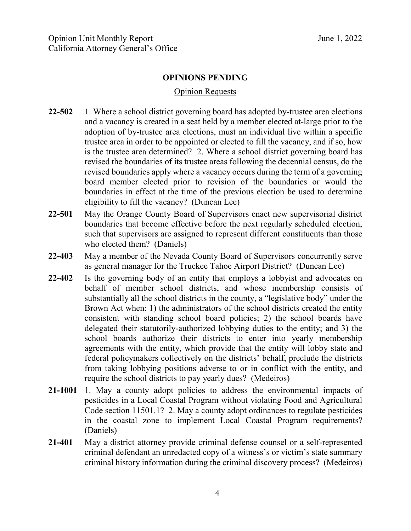#### **OPINIONS PENDING**

### Opinion Requests

- trustee area in order to be appointed or elected to fill the vacancy, and if so, how is the trustee area determined? 2. Where a school district governing board has boundaries in effect at the time of the previous election be used to determine **22-502** 1. Where a school district governing board has adopted by-trustee area elections and a vacancy is created in a seat held by a member elected at-large prior to the adoption of by-trustee area elections, must an individual live within a specific revised the boundaries of its trustee areas following the decennial census, do the revised boundaries apply where a vacancy occurs during the term of a governing board member elected prior to revision of the boundaries or would the eligibility to fill the vacancy? (Duncan Lee)
- 22-501 who elected them? (Daniels) **22-501** May the Orange County Board of Supervisors enact new supervisorial district boundaries that become effective before the next regularly scheduled election, such that supervisors are assigned to represent different constituents than those
- **22-403** May a member of the Nevada County Board of Supervisors concurrently serve as general manager for the Truckee Tahoe Airport District? (Duncan Lee)
- Brown Act when: 1) the administrators of the school districts created the entity school boards authorize their districts to enter into yearly membership **22-402** Is the governing body of an entity that employs a lobbyist and advocates on behalf of member school districts, and whose membership consists of substantially all the school districts in the county, a "legislative body" under the consistent with standing school board policies; 2) the school boards have delegated their statutorily-authorized lobbying duties to the entity; and 3) the agreements with the entity, which provide that the entity will lobby state and federal policymakers collectively on the districts' behalf, preclude the districts from taking lobbying positions adverse to or in conflict with the entity, and require the school districts to pay yearly dues? (Medeiros)
- **21-1001** 1. May a county adopt policies to address the environmental impacts of pesticides in a Local Coastal Program without violating Food and Agricultural Code section 11501.1? 2. May a county adopt ordinances to regulate pesticides in the coastal zone to implement Local Coastal Program requirements? (Daniels)
- criminal history information during the criminal discovery process? (Medeiros) **21-401** May a district attorney provide criminal defense counsel or a self-represented criminal defendant an unredacted copy of a witness's or victim's state summary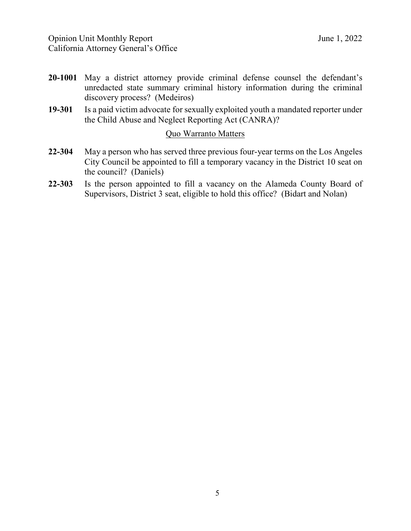- **20-1001** May a district attorney provide criminal defense counsel the defendant's unredacted state summary criminal history information during the criminal discovery process? (Medeiros)
- **19-301** Is a paid victim advocate for sexually exploited youth a mandated reporter under the Child Abuse and Neglect Reporting Act (CANRA)?<br>Quo Warranto Matters

- City Council be appointed to fill a temporary vacancy in the District 10 seat on **22-304** May a person who has served three previous four-year terms on the Los Angeles the council? (Daniels)
- **22-303** Is the person appointed to fill a vacancy on the Alameda County Board of Supervisors, District 3 seat, eligible to hold this office? (Bidart and Nolan)